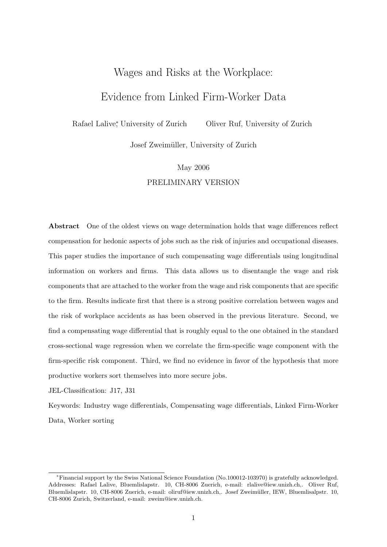# Wages and Risks at the Workplace:

# Evidence from Linked Firm-Worker Data

Rafael Lalive<sup>\*</sup>, University of Zurich Oliver Ruf, University of Zurich

Josef Zweimüller, University of Zurich

# May 2006 PRELIMINARY VERSION

Abstract One of the oldest views on wage determination holds that wage differences reflect compensation for hedonic aspects of jobs such as the risk of injuries and occupational diseases. This paper studies the importance of such compensating wage differentials using longitudinal information on workers and firms. This data allows us to disentangle the wage and risk components that are attached to the worker from the wage and risk components that are specific to the firm. Results indicate first that there is a strong positive correlation between wages and the risk of workplace accidents as has been observed in the previous literature. Second, we find a compensating wage differential that is roughly equal to the one obtained in the standard cross-sectional wage regression when we correlate the firm-specific wage component with the firm-specific risk component. Third, we find no evidence in favor of the hypothesis that more productive workers sort themselves into more secure jobs.

JEL-Classification: J17, J31

Keywords: Industry wage differentials, Compensating wage differentials, Linked Firm-Worker Data, Worker sorting

<sup>∗</sup>Financial support by the Swiss National Science Foundation (No.100012-103970) is gratefully acknowledged. Addresses: Rafael Lalive, Bluemlislapstr. 10, CH-8006 Zuerich, e-mail: rlalive@iew.unizh.ch,. Oliver Ruf, Bluemlislapstr. 10, CH-8006 Zuerich, e-mail: oliruf@iew.unizh.ch,. Josef Zweimüller, IEW, Bluemlisalpstr. 10, CH-8006 Zurich, Switzerland, e-mail: zweim@iew.unizh.ch.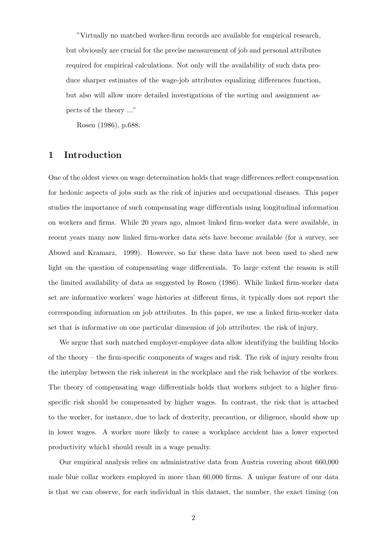"Virtually no matched worker-firm records are available for empirical research, but obviously are crucial for the precise measurement of job and personal attributes required for empirical calculations. Not only will the availability of such data produce sharper estimates of the wage-job attributes equalizing differences function, but also will allow more detailed investigations of the sorting and assignment aspects of the theory ..."

Rosen (1986), p.688.

# 1 Introduction

One of the oldest views on wage determination holds that wage differences reflect compensation for hedonic aspects of jobs such as the risk of injuries and occupational diseases. This paper studies the importance of such compensating wage differentials using longitudinal information on workers and firms. While 20 years ago, almost linked firm-worker data were available, in recent years many now linked firm-worker data sets have become available (for a survey, see Abowd and Kramarz, 1999). However, so far these data have not been used to shed new light on the question of compensating wage differentials. To large extent the reason is still the limited availability of data as suggested by Rosen (1986). While linked firm-worker data set are informative workers' wage histories at different firms, it typically does not report the corresponding information on job attributes. In this paper, we use a linked firm-worker data set that is informative on one particular dimension of job attributes: the risk of injury.

We argue that such matched employer-employee data allow identifying the building blocks of the theory – the firm-specific components of wages and risk. The risk of injury results from the interplay between the risk inherent in the workplace and the risk behavior of the workers. The theory of compensating wage differentials holds that workers subject to a higher firmspecific risk should be compensated by higher wages. In contrast, the risk that is attached to the worker, for instance, due to lack of dexterity, precaution, or diligence, should show up in lower wages. A worker more likely to cause a workplace accident has a lower expected productivity which1 should result in a wage penalty.

Our empirical analysis relies on administrative data from Austria covering about 660,000 male blue collar workers employed in more than 60,000 firms. A unique feature of our data is that we can observe, for each individual in this dataset, the number, the exact timing (on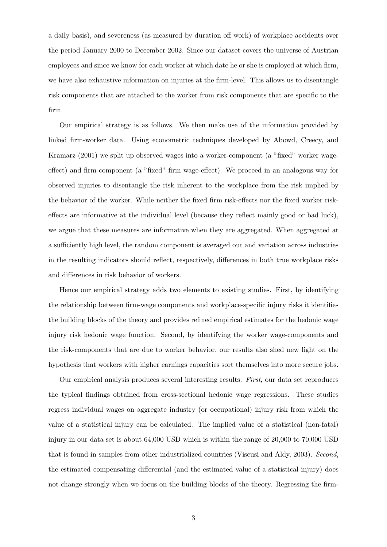a daily basis), and severeness (as measured by duration off work) of workplace accidents over the period January 2000 to December 2002. Since our dataset covers the universe of Austrian employees and since we know for each worker at which date he or she is employed at which firm, we have also exhaustive information on injuries at the firm-level. This allows us to disentangle risk components that are attached to the worker from risk components that are specific to the firm.

Our empirical strategy is as follows. We then make use of the information provided by linked firm-worker data. Using econometric techniques developed by Abowd, Creecy, and Kramarz (2001) we split up observed wages into a worker-component (a "fixed" worker wageeffect) and firm-component (a "fixed" firm wage-effect). We proceed in an analogous way for observed injuries to disentangle the risk inherent to the workplace from the risk implied by the behavior of the worker. While neither the fixed firm risk-effects nor the fixed worker riskeffects are informative at the individual level (because they reflect mainly good or bad luck), we argue that these measures are informative when they are aggregated. When aggregated at a sufficiently high level, the random component is averaged out and variation across industries in the resulting indicators should reflect, respectively, differences in both true workplace risks and differences in risk behavior of workers.

Hence our empirical strategy adds two elements to existing studies. First, by identifying the relationship between firm-wage components and workplace-specific injury risks it identifies the building blocks of the theory and provides refined empirical estimates for the hedonic wage injury risk hedonic wage function. Second, by identifying the worker wage-components and the risk-components that are due to worker behavior, our results also shed new light on the hypothesis that workers with higher earnings capacities sort themselves into more secure jobs.

Our empirical analysis produces several interesting results. First, our data set reproduces the typical findings obtained from cross-sectional hedonic wage regressions. These studies regress individual wages on aggregate industry (or occupational) injury risk from which the value of a statistical injury can be calculated. The implied value of a statistical (non-fatal) injury in our data set is about 64,000 USD which is within the range of 20,000 to 70,000 USD that is found in samples from other industrialized countries (Viscusi and Aldy, 2003). Second, the estimated compensating differential (and the estimated value of a statistical injury) does not change strongly when we focus on the building blocks of the theory. Regressing the firm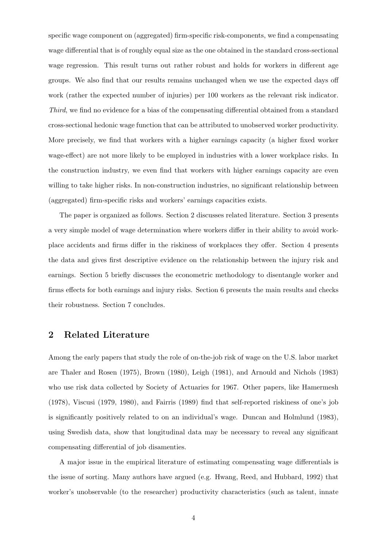specific wage component on (aggregated) firm-specific risk-components, we find a compensating wage differential that is of roughly equal size as the one obtained in the standard cross-sectional wage regression. This result turns out rather robust and holds for workers in different age groups. We also find that our results remains unchanged when we use the expected days off work (rather the expected number of injuries) per 100 workers as the relevant risk indicator. Third, we find no evidence for a bias of the compensating differential obtained from a standard cross-sectional hedonic wage function that can be attributed to unobserved worker productivity. More precisely, we find that workers with a higher earnings capacity (a higher fixed worker wage-effect) are not more likely to be employed in industries with a lower workplace risks. In the construction industry, we even find that workers with higher earnings capacity are even willing to take higher risks. In non-construction industries, no significant relationship between (aggregated) firm-specific risks and workers' earnings capacities exists.

The paper is organized as follows. Section 2 discusses related literature. Section 3 presents a very simple model of wage determination where workers differ in their ability to avoid workplace accidents and firms differ in the riskiness of workplaces they offer. Section 4 presents the data and gives first descriptive evidence on the relationship between the injury risk and earnings. Section 5 briefly discusses the econometric methodology to disentangle worker and firms effects for both earnings and injury risks. Section 6 presents the main results and checks their robustness. Section 7 concludes.

# 2 Related Literature

Among the early papers that study the role of on-the-job risk of wage on the U.S. labor market are Thaler and Rosen (1975), Brown (1980), Leigh (1981), and Arnould and Nichols (1983) who use risk data collected by Society of Actuaries for 1967. Other papers, like Hamermesh (1978), Viscusi (1979, 1980), and Fairris (1989) find that self-reported riskiness of one's job is significantly positively related to on an individual's wage. Duncan and Holmlund (1983), using Swedish data, show that longitudinal data may be necessary to reveal any significant compensating differential of job disamenties.

A major issue in the empirical literature of estimating compensating wage differentials is the issue of sorting. Many authors have argued (e.g. Hwang, Reed, and Hubbard, 1992) that worker's unobservable (to the researcher) productivity characteristics (such as talent, innate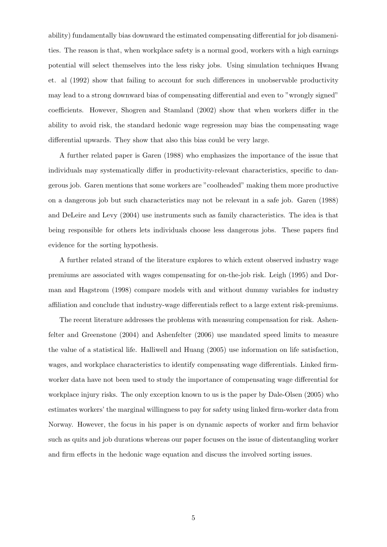ability) fundamentally bias downward the estimated compensating differential for job disamenities. The reason is that, when workplace safety is a normal good, workers with a high earnings potential will select themselves into the less risky jobs. Using simulation techniques Hwang et. al (1992) show that failing to account for such differences in unobservable productivity may lead to a strong downward bias of compensating differential and even to "wrongly signed" coefficients. However, Shogren and Stamland (2002) show that when workers differ in the ability to avoid risk, the standard hedonic wage regression may bias the compensating wage differential upwards. They show that also this bias could be very large.

A further related paper is Garen (1988) who emphasizes the importance of the issue that individuals may systematically differ in productivity-relevant characteristics, specific to dangerous job. Garen mentions that some workers are "coolheaded" making them more productive on a dangerous job but such characteristics may not be relevant in a safe job. Garen (1988) and DeLeire and Levy (2004) use instruments such as family characteristics. The idea is that being responsible for others lets individuals choose less dangerous jobs. These papers find evidence for the sorting hypothesis.

A further related strand of the literature explores to which extent observed industry wage premiums are associated with wages compensating for on-the-job risk. Leigh (1995) and Dorman and Hagstrom (1998) compare models with and without dummy variables for industry affiliation and conclude that industry-wage differentials reflect to a large extent risk-premiums.

The recent literature addresses the problems with measuring compensation for risk. Ashenfelter and Greenstone (2004) and Ashenfelter (2006) use mandated speed limits to measure the value of a statistical life. Halliwell and Huang (2005) use information on life satisfaction, wages, and workplace characteristics to identify compensating wage differentials. Linked firmworker data have not been used to study the importance of compensating wage differential for workplace injury risks. The only exception known to us is the paper by Dale-Olsen (2005) who estimates workers' the marginal willingness to pay for safety using linked firm-worker data from Norway. However, the focus in his paper is on dynamic aspects of worker and firm behavior such as quits and job durations whereas our paper focuses on the issue of distentangling worker and firm effects in the hedonic wage equation and discuss the involved sorting issues.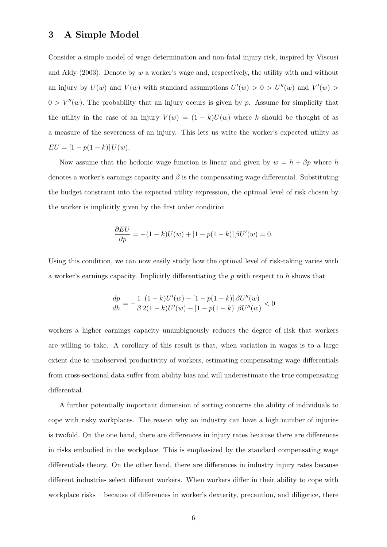### 3 A Simple Model

Consider a simple model of wage determination and non-fatal injury risk, inspired by Viscusi and Aldy (2003). Denote by w a worker's wage and, respectively, the utility with and without an injury by  $U(w)$  and  $V(w)$  with standard assumptions  $U'(w) > 0 > U''(w)$  and  $V'(w) >$  $0 > V''(w)$ . The probability that an injury occurs is given by p. Assume for simplicity that the utility in the case of an injury  $V(w) = (1 - k)U(w)$  where k should be thought of as a measure of the severeness of an injury. This lets us write the worker's expected utility as  $EU = [1 - p(1 - k)] U(w).$ 

Now assume that the hedonic wage function is linear and given by  $w = h + \beta p$  where h denotes a worker's earnings capacity and  $\beta$  is the compensating wage differential. Substituting the budget constraint into the expected utility expression, the optimal level of risk chosen by the worker is implicitly given by the first order condition

$$
\frac{\partial EU}{\partial p} = -(1 - k)U(w) + [1 - p(1 - k)] \beta U'(w) = 0.
$$

Using this condition, we can now easily study how the optimal level of risk-taking varies with a worker's earnings capacity. Implicitly differentiating the  $p$  with respect to  $h$  shows that

$$
\frac{dp}{dh} = -\frac{1}{\beta} \frac{(1-k)U'(w) - [1 - p(1-k)] \beta U''(w)}{2(1-k)U'(w) - [1 - p(1-k)] \beta U''(w)} < 0
$$

workers a higher earnings capacity unambiguously reduces the degree of risk that workers are willing to take. A corollary of this result is that, when variation in wages is to a large extent due to unobserved productivity of workers, estimating compensating wage differentials from cross-sectional data suffer from ability bias and will underestimate the true compensating differential.

A further potentially important dimension of sorting concerns the ability of individuals to cope with risky workplaces. The reason why an industry can have a high number of injuries is twofold. On the one hand, there are differences in injury rates because there are differences in risks embodied in the workplace. This is emphasized by the standard compensating wage differentials theory. On the other hand, there are differences in industry injury rates because different industries select different workers. When workers differ in their ability to cope with workplace risks – because of differences in worker's dexterity, precaution, and diligence, there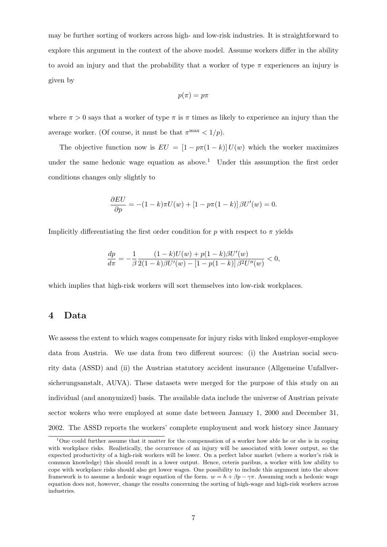may be further sorting of workers across high- and low-risk industries. It is straightforward to explore this argument in the context of the above model. Assume workers differ in the ability to avoid an injury and that the probability that a worker of type  $\pi$  experiences an injury is given by

$$
p(\pi) = p\pi
$$

where  $\pi > 0$  says that a worker of type  $\pi$  is  $\pi$  times as likely to experience an injury than the average worker. (Of course, it must be that  $\pi^{\max} < 1/p$ ).

The objective function now is  $EU = [1 - p\pi(1 - k)]U(w)$  which the worker maximizes under the same hedonic wage equation as above.<sup>1</sup> Under this assumption the first order conditions changes only slightly to

$$
\frac{\partial EU}{\partial p} = -(1 - k)\pi U(w) + [1 - p\pi(1 - k)] \beta U'(w) = 0.
$$

Implicitly differentiating the first order condition for p with respect to  $\pi$  yields

$$
\frac{dp}{d\pi} = -\frac{1}{\beta} \frac{(1-k)U(w) + p(1-k)\beta U'(w)}{2(1-k)\beta U'(w) - [1 - p(1-k)]\beta^2 U''(w)} < 0,
$$

which implies that high-risk workers will sort themselves into low-risk workplaces.

# 4 Data

We assess the extent to which wages compensate for injury risks with linked employer-employee data from Austria. We use data from two different sources: (i) the Austrian social security data (ASSD) and (ii) the Austrian statutory accident insurance (Allgemeine Unfallversicherungsanstalt, AUVA). These datasets were merged for the purpose of this study on an individual (and anonymized) basis. The available data include the universe of Austrian private sector wokers who were employed at some date between January 1, 2000 and December 31, 2002. The ASSD reports the workers' complete employment and work history since January

<sup>&</sup>lt;sup>1</sup>One could further assume that it matter for the compensation of a worker how able he or she is in coping with workplace risks. Realistically, the occurrence of an injury will be associated with lower output, so the expected productivity of a high-risk workers will be lower. On a perfect labor market (where a worker's risk is common knowledge) this should result in a lower output. Hence, ceteris paribus, a worker with low ability to cope with workplace risks should also get lower wages. One possibility to include this argument into the above framework is to assume a hedonic wage equation of the form.  $w = h + \beta p - \gamma \pi$ . Assuming such a hedonic wage equation does not, however, change the results concerning the sorting of high-wage and high-risk workers across industries.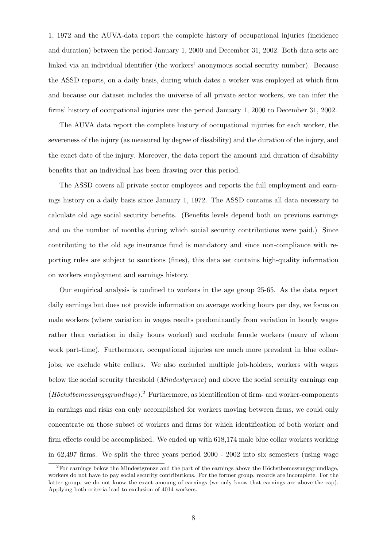1, 1972 and the AUVA-data report the complete history of occupational injuries (incidence and duration) between the period January 1, 2000 and December 31, 2002. Both data sets are linked via an individual identifier (the workers' anonymous social security number). Because the ASSD reports, on a daily basis, during which dates a worker was employed at which firm and because our dataset includes the universe of all private sector workers, we can infer the firms' history of occupational injuries over the period January 1, 2000 to December 31, 2002.

The AUVA data report the complete history of occupational injuries for each worker, the severeness of the injury (as measured by degree of disability) and the duration of the injury, and the exact date of the injury. Moreover, the data report the amount and duration of disability benefits that an individual has been drawing over this period.

The ASSD covers all private sector employees and reports the full employment and earnings history on a daily basis since January 1, 1972. The ASSD contains all data necessary to calculate old age social security benefits. (Benefits levels depend both on previous earnings and on the number of months during which social security contributions were paid.) Since contributing to the old age insurance fund is mandatory and since non-compliance with reporting rules are subject to sanctions (fines), this data set contains high-quality information on workers employment and earnings history.

Our empirical analysis is confined to workers in the age group 25-65. As the data report daily earnings but does not provide information on average working hours per day, we focus on male workers (where variation in wages results predominantly from variation in hourly wages rather than variation in daily hours worked) and exclude female workers (many of whom work part-time). Furthermore, occupational injuries are much more prevalent in blue collarjobs, we exclude white collars. We also excluded multiple job-holders, workers with wages below the social security threshold (Mindestgrenze) and above the social security earnings cap  $(H\ddot{o}chstbemessung grundlage).$ <sup>2</sup> Furthermore, as identification of firm- and worker-components in earnings and risks can only accomplished for workers moving between firms, we could only concentrate on those subset of workers and firms for which identification of both worker and firm effects could be accomplished. We ended up with 618,174 male blue collar workers working in 62,497 firms. We split the three years period 2000 - 2002 into six semesters (using wage

 $2F$ or earnings below the Mindestgrenze and the part of the earnings above the Höchstbemessungsgrundlage, workers do not have to pay social security contributions. For the former group, records are incomplete. For the latter group, we do not know the exact amoung of earnings (we only know that earnings are above the cap). Applying both criteria lead to exclusion of 4014 workers.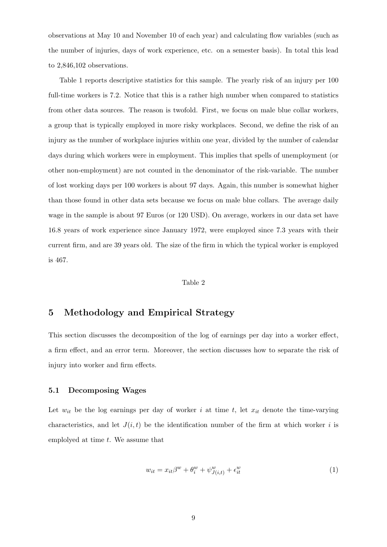observations at May 10 and November 10 of each year) and calculating flow variables (such as the number of injuries, days of work experience, etc. on a semester basis). In total this lead to 2,846,102 observations.

Table 1 reports descriptive statistics for this sample. The yearly risk of an injury per 100 full-time workers is 7.2. Notice that this is a rather high number when compared to statistics from other data sources. The reason is twofold. First, we focus on male blue collar workers, a group that is typically employed in more risky workplaces. Second, we define the risk of an injury as the number of workplace injuries within one year, divided by the number of calendar days during which workers were in employment. This implies that spells of unemployment (or other non-employment) are not counted in the denominator of the risk-variable. The number of lost working days per 100 workers is about 97 days. Again, this number is somewhat higher than those found in other data sets because we focus on male blue collars. The average daily wage in the sample is about 97 Euros (or 120 USD). On average, workers in our data set have 16.8 years of work experience since January 1972, were employed since 7.3 years with their current firm, and are 39 years old. The size of the firm in which the typical worker is employed is 467.

#### Table 2

### 5 Methodology and Empirical Strategy

This section discusses the decomposition of the log of earnings per day into a worker effect, a firm effect, and an error term. Moreover, the section discusses how to separate the risk of injury into worker and firm effects.

### 5.1 Decomposing Wages

Let  $w_{it}$  be the log earnings per day of worker i at time t, let  $x_{it}$  denote the time-varying characteristics, and let  $J(i, t)$  be the identification number of the firm at which worker i is employed at time  $t$ . We assume that

$$
w_{it} = x_{it}\beta^w + \theta_i^w + \psi_{J(i,t)}^w + \epsilon_{it}^w
$$
\n<sup>(1)</sup>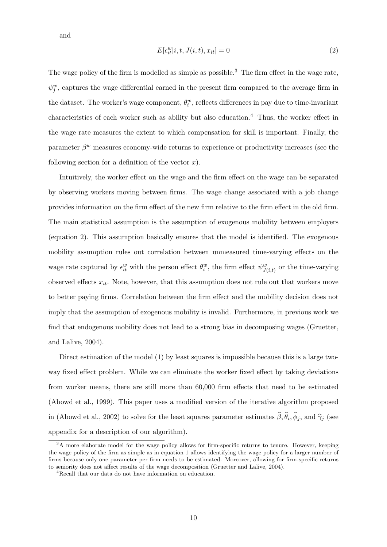and

$$
E[\epsilon_{it}^w|i, t, J(i, t), x_{it}] = 0
$$
\n
$$
(2)
$$

The wage policy of the firm is modelled as simple as possible.<sup>3</sup> The firm effect in the wage rate,  $\psi_j^w$ , captures the wage differential earned in the present firm compared to the average firm in the dataset. The worker's wage component,  $\theta_i^w$ , reflects differences in pay due to time-invariant characteristics of each worker such as ability but also education.<sup>4</sup> Thus, the worker effect in the wage rate measures the extent to which compensation for skill is important. Finally, the parameter  $\beta^w$  measures economy-wide returns to experience or productivity increases (see the following section for a definition of the vector  $x$ ).

Intuitively, the worker effect on the wage and the firm effect on the wage can be separated by observing workers moving between firms. The wage change associated with a job change provides information on the firm effect of the new firm relative to the firm effect in the old firm. The main statistical assumption is the assumption of exogenous mobility between employers (equation 2). This assumption basically ensures that the model is identified. The exogenous mobility assumption rules out correlation between unmeasured time-varying effects on the wage rate captured by  $\epsilon_{it}^w$  with the person effect  $\theta_i^w$ , the firm effect  $\psi_{J(i,t)}^w$  or the time-varying observed effects  $x_{it}$ . Note, however, that this assumption does not rule out that workers move to better paying firms. Correlation between the firm effect and the mobility decision does not imply that the assumption of exogenous mobility is invalid. Furthermore, in previous work we find that endogenous mobility does not lead to a strong bias in decomposing wages (Gruetter, and Lalive, 2004).

Direct estimation of the model (1) by least squares is impossible because this is a large twoway fixed effect problem. While we can eliminate the worker fixed effect by taking deviations from worker means, there are still more than 60,000 firm effects that need to be estimated (Abowd et al., 1999). This paper uses a modified version of the iterative algorithm proposed in (Abowd et al., 2002) to solve for the least squares parameter estimates  $\beta$ ,  $\theta_i$ ,  $\phi_j$ , and  $\hat{\gamma}_j$  (see appendix for a description of our algorithm).

 $3A$  more elaborate model for the wage policy allows for firm-specific returns to tenure. However, keeping the wage policy of the firm as simple as in equation 1 allows identifying the wage policy for a larger number of firms because only one parameter per firm needs to be estimated. Moreover, allowing for firm-specific returns to seniority does not affect results of the wage decomposition (Gruetter and Lalive, 2004).

<sup>4</sup>Recall that our data do not have information on education.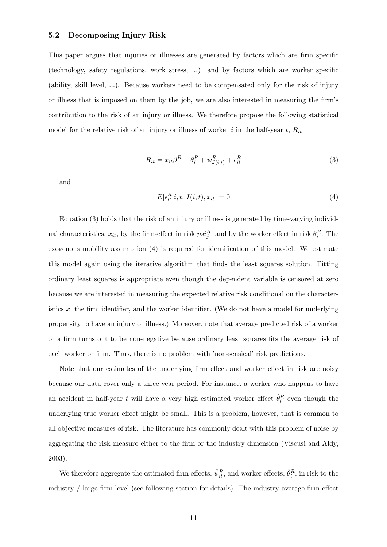### 5.2 Decomposing Injury Risk

This paper argues that injuries or illnesses are generated by factors which are firm specific (technology, safety regulations, work stress, ...) and by factors which are worker specific (ability, skill level, ...). Because workers need to be compensated only for the risk of injury or illness that is imposed on them by the job, we are also interested in measuring the firm's contribution to the risk of an injury or illness. We therefore propose the following statistical model for the relative risk of an injury or illness of worker i in the half-year  $t$ ,  $R_{it}$ 

$$
R_{it} = x_{it}\beta^R + \theta_i^R + \psi_{J(i,t)}^R + \epsilon_{it}^R
$$
\n(3)

and

$$
E[\epsilon_{it}^R|i, t, J(i, t), x_{it}] = 0 \tag{4}
$$

Equation (3) holds that the risk of an injury or illness is generated by time-varying individual characteristics,  $x_{it}$ , by the firm-effect in risk  $psi_j^R$ , and by the worker effect in risk  $\theta_i^R$ . The exogenous mobility assumption (4) is required for identification of this model. We estimate this model again using the iterative algorithm that finds the least squares solution. Fitting ordinary least squares is appropriate even though the dependent variable is censored at zero because we are interested in measuring the expected relative risk conditional on the characteristics  $x$ , the firm identifier, and the worker identifier. (We do not have a model for underlying propensity to have an injury or illness.) Moreover, note that average predicted risk of a worker or a firm turns out to be non-negative because ordinary least squares fits the average risk of each worker or firm. Thus, there is no problem with 'non-sensical' risk predictions.

Note that our estimates of the underlying firm effect and worker effect in risk are noisy because our data cover only a three year period. For instance, a worker who happens to have an accident in half-year t will have a very high estimated worker effect  $\hat{\theta}_i^R$  even though the underlying true worker effect might be small. This is a problem, however, that is common to all objective measures of risk. The literature has commonly dealt with this problem of noise by aggregating the risk measure either to the firm or the industry dimension (Viscusi and Aldy, 2003).

We therefore aggregate the estimated firm effects,  $\hat{\psi}_{it}^R$ , and worker effects,  $\hat{\theta}_i^R$ , in risk to the industry / large firm level (see following section for details). The industry average firm effect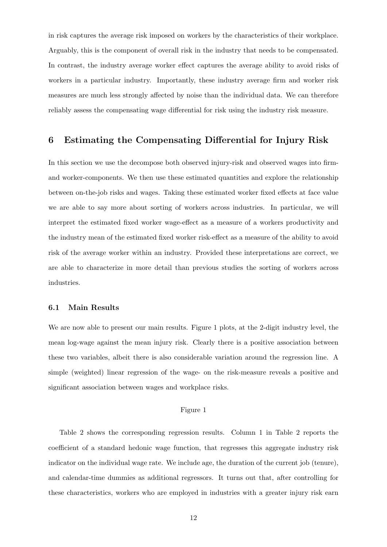in risk captures the average risk imposed on workers by the characteristics of their workplace. Arguably, this is the component of overall risk in the industry that needs to be compensated. In contrast, the industry average worker effect captures the average ability to avoid risks of workers in a particular industry. Importantly, these industry average firm and worker risk measures are much less strongly affected by noise than the individual data. We can therefore reliably assess the compensating wage differential for risk using the industry risk measure.

# 6 Estimating the Compensating Differential for Injury Risk

In this section we use the decompose both observed injury-risk and observed wages into firmand worker-components. We then use these estimated quantities and explore the relationship between on-the-job risks and wages. Taking these estimated worker fixed effects at face value we are able to say more about sorting of workers across industries. In particular, we will interpret the estimated fixed worker wage-effect as a measure of a workers productivity and the industry mean of the estimated fixed worker risk-effect as a measure of the ability to avoid risk of the average worker within an industry. Provided these interpretations are correct, we are able to characterize in more detail than previous studies the sorting of workers across industries.

### 6.1 Main Results

We are now able to present our main results. Figure 1 plots, at the 2-digit industry level, the mean log-wage against the mean injury risk. Clearly there is a positive association between these two variables, albeit there is also considerable variation around the regression line. A simple (weighted) linear regression of the wage- on the risk-measure reveals a positive and significant association between wages and workplace risks.

### Figure 1

Table 2 shows the corresponding regression results. Column 1 in Table 2 reports the coefficient of a standard hedonic wage function, that regresses this aggregate industry risk indicator on the individual wage rate. We include age, the duration of the current job (tenure), and calendar-time dummies as additional regressors. It turns out that, after controlling for these characteristics, workers who are employed in industries with a greater injury risk earn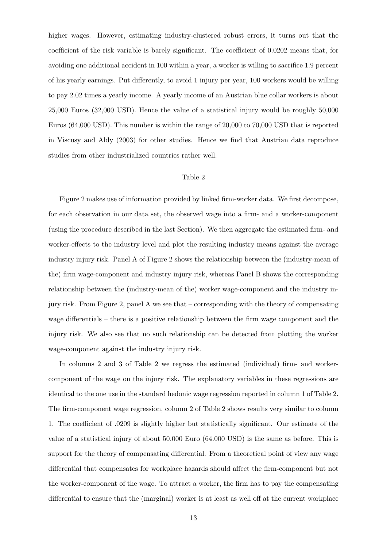higher wages. However, estimating industry-clustered robust errors, it turns out that the coefficient of the risk variable is barely significant. The coefficient of 0.0202 means that, for avoiding one additional accident in 100 within a year, a worker is willing to sacrifice 1.9 percent of his yearly earnings. Put differently, to avoid 1 injury per year, 100 workers would be willing to pay 2.02 times a yearly income. A yearly income of an Austrian blue collar workers is about 25,000 Euros (32,000 USD). Hence the value of a statistical injury would be roughly 50,000 Euros (64,000 USD). This number is within the range of 20,000 to 70,000 USD that is reported in Viscusy and Aldy (2003) for other studies. Hence we find that Austrian data reproduce studies from other industrialized countries rather well.

### Table 2

Figure 2 makes use of information provided by linked firm-worker data. We first decompose, for each observation in our data set, the observed wage into a firm- and a worker-component (using the procedure described in the last Section). We then aggregate the estimated firm- and worker-effects to the industry level and plot the resulting industry means against the average industry injury risk. Panel A of Figure 2 shows the relationship between the (industry-mean of the) firm wage-component and industry injury risk, whereas Panel B shows the corresponding relationship between the (industry-mean of the) worker wage-component and the industry injury risk. From Figure 2, panel A we see that – corresponding with the theory of compensating wage differentials – there is a positive relationship between the firm wage component and the injury risk. We also see that no such relationship can be detected from plotting the worker wage-component against the industry injury risk.

In columns 2 and 3 of Table 2 we regress the estimated (individual) firm- and workercomponent of the wage on the injury risk. The explanatory variables in these regressions are identical to the one use in the standard hedonic wage regression reported in column 1 of Table 2. The firm-component wage regression, column 2 of Table 2 shows results very similar to column 1. The coefficient of .0209 is slightly higher but statistically significant. Our estimate of the value of a statistical injury of about 50.000 Euro (64.000 USD) is the same as before. This is support for the theory of compensating differential. From a theoretical point of view any wage differential that compensates for workplace hazards should affect the firm-component but not the worker-component of the wage. To attract a worker, the firm has to pay the compensating differential to ensure that the (marginal) worker is at least as well off at the current workplace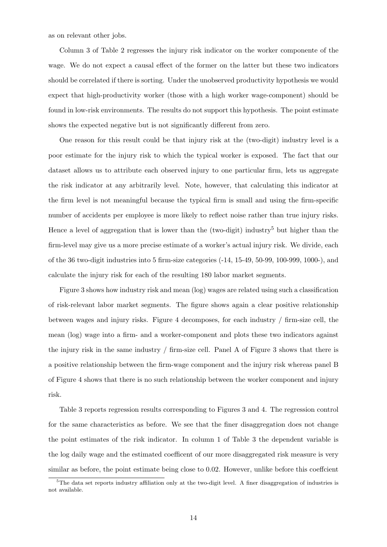as on relevant other jobs.

Column 3 of Table 2 regresses the injury risk indicator on the worker componente of the wage. We do not expect a causal effect of the former on the latter but these two indicators should be correlated if there is sorting. Under the unobserved productivity hypothesis we would expect that high-productivity worker (those with a high worker wage-component) should be found in low-risk environments. The results do not support this hypothesis. The point estimate shows the expected negative but is not significantly different from zero.

One reason for this result could be that injury risk at the (two-digit) industry level is a poor estimate for the injury risk to which the typical worker is exposed. The fact that our dataset allows us to attribute each observed injury to one particular firm, lets us aggregate the risk indicator at any arbitrarily level. Note, however, that calculating this indicator at the firm level is not meaningful because the typical firm is small and using the firm-specific number of accidents per employee is more likely to reflect noise rather than true injury risks. Hence a level of aggregation that is lower than the (two-digit) industry<sup>5</sup> but higher than the firm-level may give us a more precise estimate of a worker's actual injury risk. We divide, each of the 36 two-digit industries into 5 firm-size categories (-14, 15-49, 50-99, 100-999, 1000-), and calculate the injury risk for each of the resulting 180 labor market segments.

Figure 3 shows how industry risk and mean (log) wages are related using such a classification of risk-relevant labor market segments. The figure shows again a clear positive relationship between wages and injury risks. Figure 4 decomposes, for each industry / firm-size cell, the mean (log) wage into a firm- and a worker-component and plots these two indicators against the injury risk in the same industry / firm-size cell. Panel A of Figure 3 shows that there is a positive relationship between the firm-wage component and the injury risk whereas panel B of Figure 4 shows that there is no such relationship between the worker component and injury risk.

Table 3 reports regression results corresponding to Figures 3 and 4. The regression control for the same characteristics as before. We see that the finer disaggregation does not change the point estimates of the risk indicator. In column 1 of Table 3 the dependent variable is the log daily wage and the estimated coefficent of our more disaggregated risk measure is very similar as before, the point estimate being close to 0.02. However, unlike before this coeffcient

<sup>5</sup>The data set reports industry affiliation only at the two-digit level. A finer disaggregation of industries is not available.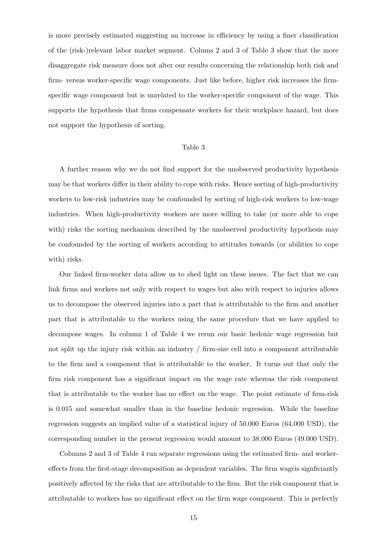is more precisely estimated suggesting an increase in efficiency by using a finer classification of the (risk-)relevant labor market segment. Colums 2 and 3 of Table 3 show that the more disaggregate risk measure does not alter our results concerning the relationship both risk and firm- versus worker-specific wage components. Just like before, higher risk increases the firmspecific wage component but is unrelated to the worker-specific component of the wage. This supports the hypothesis that firms compensate workers for their workplace hazard, but does not support the hypothesis of sorting.

#### Table 3

A further reason why we do not find support for the unobserved productivity hypothesis may be that workers differ in their ability to cope with risks. Hence sorting of high-productivity workers to low-risk industries may be confounded by sorting of high-risk workers to low-wage industries. When high-productivity workers are more willing to take (or more able to cope with) risks the sorting mechanism described by the unobserved productivity hypothesis may be confounded by the sorting of workers according to attitudes towards (or abilities to cope with) risks.

Our linked firm-worker data allow us to shed light on these issues. The fact that we can link firms and workers not only with respect to wages but also with respect to injuries allows us to decompose the observed injuries into a part that is attributable to the firm and another part that is attributable to the workers using the same procedure that we have applied to decompose wages. In column 1 of Table 4 we rerun our basic hedonic wage regression but not split up the injury risk within an industry / firm-size cell into a component attributable to the firm and a component that is attributable to the worker. It turns out that only the firm risk component has a significant impact on the wage rate whereas the risk component that is attributable to the worker has no effect on the wage. The point estimate of firm-risk is 0.015 and somewhat smaller than in the baseline hedonic regression. While the baseline regression suggests an implied value of a statistical injury of 50.000 Euros (64.000 USD), the corresponding number in the present regression would amount to 38.000 Euros (49.000 USD).

Columns 2 and 3 of Table 4 run separate regressions using the estimated firm- and workereffects from the first-stage decomposition as dependent variables. The firm wageis signficiantly positively affected by the risks that are attributable to the firm. But the risk component that is attributable to workers has no significant effect on the firm wage component. This is perfectly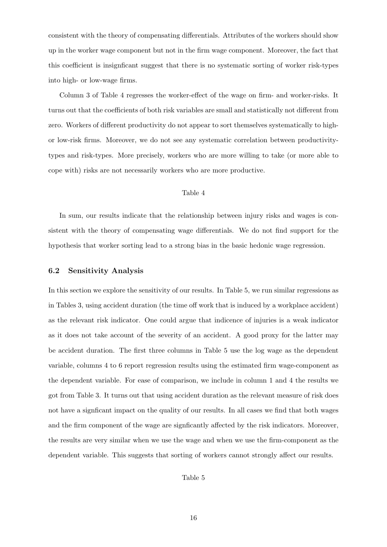consistent with the theory of compensating differentials. Attributes of the workers should show up in the worker wage component but not in the firm wage component. Moreover, the fact that this coefficient is insignficant suggest that there is no systematic sorting of worker risk-types into high- or low-wage firms.

Column 3 of Table 4 regresses the worker-effect of the wage on firm- and worker-risks. It turns out that the coefficients of both risk variables are small and statistically not different from zero. Workers of different productivity do not appear to sort themselves systematically to highor low-risk firms. Moreover, we do not see any systematic correlation between productivitytypes and risk-types. More precisely, workers who are more willing to take (or more able to cope with) risks are not necessarily workers who are more productive.

#### Table 4

In sum, our results indicate that the relationship between injury risks and wages is consistent with the theory of compensating wage differentials. We do not find support for the hypothesis that worker sorting lead to a strong bias in the basic hedonic wage regression.

### 6.2 Sensitivity Analysis

In this section we explore the sensitivity of our results. In Table 5, we run similar regressions as in Tables 3, using accident duration (the time off work that is induced by a workplace accident) as the relevant risk indicator. One could argue that indicence of injuries is a weak indicator as it does not take account of the severity of an accident. A good proxy for the latter may be accident duration. The first three columns in Table 5 use the log wage as the dependent variable, columns 4 to 6 report regression results using the estimated firm wage-component as the dependent variable. For ease of comparison, we include in column 1 and 4 the results we got from Table 3. It turns out that using accident duration as the relevant measure of risk does not have a signficant impact on the quality of our results. In all cases we find that both wages and the firm component of the wage are signficantly affected by the risk indicators. Moreover, the results are very similar when we use the wage and when we use the firm-component as the dependent variable. This suggests that sorting of workers cannot strongly affect our results.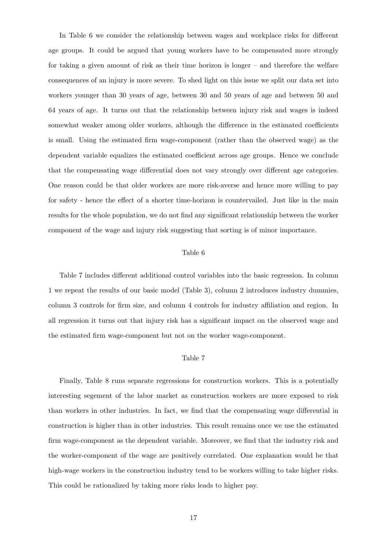In Table 6 we consider the relationship between wages and workplace risks for different age groups. It could be argued that young workers have to be compensated more strongly for taking a given amount of risk as their time horizon is longer – and therefore the welfare consequences of an injury is more severe. To shed light on this issue we split our data set into workers younger than 30 years of age, between 30 and 50 years of age and between 50 and 64 years of age. It turns out that the relationship between injury risk and wages is indeed somewhat weaker among older workers, although the difference in the estimated coefficients is small. Using the estimated firm wage-component (rather than the observed wage) as the dependent variable equalizes the estimated coefficient across age groups. Hence we conclude that the compensating wage differential does not vary strongly over different age categories. One reason could be that older workers are more risk-averse and hence more willing to pay for safety - hence the effect of a shorter time-horizon is countervailed. Just like in the main results for the whole population, we do not find any significant relationship between the worker component of the wage and injury risk suggesting that sorting is of minor importance.

### Table 6

Table 7 includes different additional control variables into the basic regression. In column 1 we repeat the results of our basic model (Table 3), column 2 introduces industry dummies, column 3 controls for firm size, and column 4 controls for industry affiliation and region. In all regression it turns out that injury risk has a significant impact on the observed wage and the estimated firm wage-component but not on the worker wage-component.

### Table 7

Finally, Table 8 runs separate regressions for construction workers. This is a potentially interesting segement of the labor market as construction workers are more exposed to risk than workers in other industries. In fact, we find that the compensating wage differential in construction is higher than in other industries. This result remains once we use the estimated firm wage-component as the dependent variable. Moreover, we find that the industry risk and the worker-component of the wage are positively correlated. One explanation would be that high-wage workers in the construction industry tend to be workers willing to take higher risks. This could be rationalized by taking more risks leads to higher pay.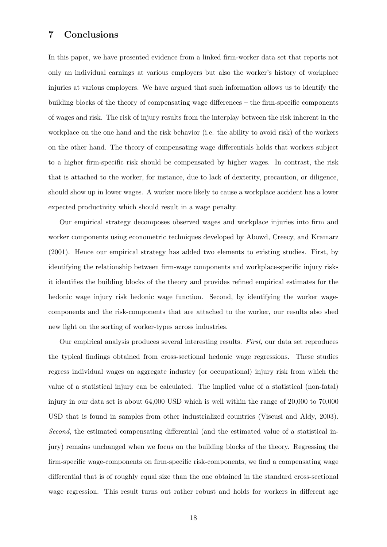# 7 Conclusions

In this paper, we have presented evidence from a linked firm-worker data set that reports not only an individual earnings at various employers but also the worker's history of workplace injuries at various employers. We have argued that such information allows us to identify the building blocks of the theory of compensating wage differences – the firm-specific components of wages and risk. The risk of injury results from the interplay between the risk inherent in the workplace on the one hand and the risk behavior (i.e. the ability to avoid risk) of the workers on the other hand. The theory of compensating wage differentials holds that workers subject to a higher firm-specific risk should be compensated by higher wages. In contrast, the risk that is attached to the worker, for instance, due to lack of dexterity, precaution, or diligence, should show up in lower wages. A worker more likely to cause a workplace accident has a lower expected productivity which should result in a wage penalty.

Our empirical strategy decomposes observed wages and workplace injuries into firm and worker components using econometric techniques developed by Abowd, Creecy, and Kramarz (2001). Hence our empirical strategy has added two elements to existing studies. First, by identifying the relationship between firm-wage components and workplace-specific injury risks it identifies the building blocks of the theory and provides refined empirical estimates for the hedonic wage injury risk hedonic wage function. Second, by identifying the worker wagecomponents and the risk-components that are attached to the worker, our results also shed new light on the sorting of worker-types across industries.

Our empirical analysis produces several interesting results. First, our data set reproduces the typical findings obtained from cross-sectional hedonic wage regressions. These studies regress individual wages on aggregate industry (or occupational) injury risk from which the value of a statistical injury can be calculated. The implied value of a statistical (non-fatal) injury in our data set is about 64,000 USD which is well within the range of 20,000 to 70,000 USD that is found in samples from other industrialized countries (Viscusi and Aldy, 2003). Second, the estimated compensating differential (and the estimated value of a statistical injury) remains unchanged when we focus on the building blocks of the theory. Regressing the firm-specific wage-components on firm-specific risk-components, we find a compensating wage differential that is of roughly equal size than the one obtained in the standard cross-sectional wage regression. This result turns out rather robust and holds for workers in different age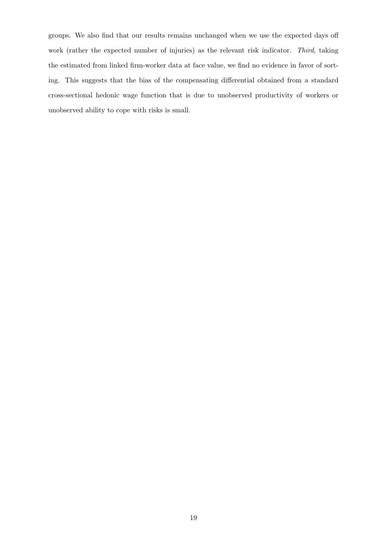groups. We also find that our results remains unchanged when we use the expected days off work (rather the expected number of injuries) as the relevant risk indicator. Third, taking the estimated from linked firm-worker data at face value, we find no evidence in favor of sorting. This suggests that the bias of the compensating differential obtained from a standard cross-sectional hedonic wage function that is due to unobserved productivity of workers or unobserved ability to cope with risks is small.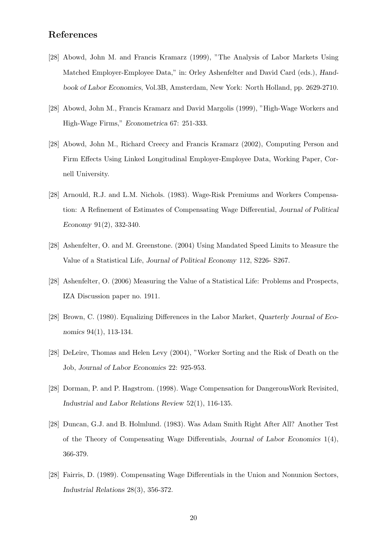## References

- [28] Abowd, John M. and Francis Kramarz (1999), "The Analysis of Labor Markets Using Matched Employer-Employee Data," in: Orley Ashenfelter and David Card (eds.), Handbook of Labor Economics, Vol.3B, Amsterdam, New York: North Holland, pp. 2629-2710.
- [28] Abowd, John M., Francis Kramarz and David Margolis (1999), "High-Wage Workers and High-Wage Firms," Econometrica 67: 251-333.
- [28] Abowd, John M., Richard Creecy and Francis Kramarz (2002), Computing Person and Firm Effects Using Linked Longitudinal Employer-Employee Data, Working Paper, Cornell University.
- [28] Arnould, R.J. and L.M. Nichols. (1983). Wage-Risk Premiums and Workers Compensation: A Refinement of Estimates of Compensating Wage Differential, Journal of Political Economy 91(2), 332-340.
- [28] Ashenfelter, O. and M. Greenstone. (2004) Using Mandated Speed Limits to Measure the Value of a Statistical Life, Journal of Political Economy 112, S226- S267.
- [28] Ashenfelter, O. (2006) Measuring the Value of a Statistical Life: Problems and Prospects, IZA Discussion paper no. 1911.
- [28] Brown, C. (1980). Equalizing Differences in the Labor Market, Quarterly Journal of Economics 94(1), 113-134.
- [28] DeLeire, Thomas and Helen Levy (2004), "Worker Sorting and the Risk of Death on the Job, Journal of Labor Economics 22: 925-953.
- [28] Dorman, P. and P. Hagstrom. (1998). Wage Compensation for DangerousWork Revisited, Industrial and Labor Relations Review 52(1), 116-135.
- [28] Duncan, G.J. and B. Holmlund. (1983). Was Adam Smith Right After All? Another Test of the Theory of Compensating Wage Differentials, Journal of Labor Economics 1(4), 366-379.
- [28] Fairris, D. (1989). Compensating Wage Differentials in the Union and Nonunion Sectors, Industrial Relations 28(3), 356-372.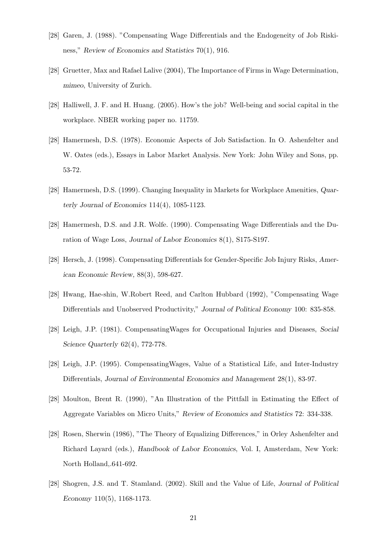- [28] Garen, J. (1988). "Compensating Wage Differentials and the Endogeneity of Job Riskiness," Review of Economics and Statistics 70(1), 916.
- [28] Gruetter, Max and Rafael Lalive (2004), The Importance of Firms in Wage Determination, mimeo, University of Zurich.
- [28] Halliwell, J. F. and H. Huang. (2005). How's the job? Well-being and social capital in the workplace. NBER working paper no. 11759.
- [28] Hamermesh, D.S. (1978). Economic Aspects of Job Satisfaction. In O. Ashenfelter and W. Oates (eds.), Essays in Labor Market Analysis. New York: John Wiley and Sons, pp. 53-72.
- [28] Hamermesh, D.S. (1999). Changing Inequality in Markets for Workplace Amenities, Quarterly Journal of Economics 114(4), 1085-1123.
- [28] Hamermesh, D.S. and J.R. Wolfe. (1990). Compensating Wage Differentials and the Duration of Wage Loss, Journal of Labor Economics 8(1), S175-S197.
- [28] Hersch, J. (1998). Compensating Differentials for Gender-Specific Job Injury Risks, American Economic Review, 88(3), 598-627.
- [28] Hwang, Hae-shin, W.Robert Reed, and Carlton Hubbard (1992), "Compensating Wage Differentials and Unobserved Productivity," Journal of Political Economy 100: 835-858.
- [28] Leigh, J.P. (1981). CompensatingWages for Occupational Injuries and Diseases, Social Science Quarterly 62(4), 772-778.
- [28] Leigh, J.P. (1995). CompensatingWages, Value of a Statistical Life, and Inter-Industry Differentials, Journal of Environmental Economics and Management 28(1), 83-97.
- [28] Moulton, Brent R. (1990), "An Illustration of the Pittfall in Estimating the Effect of Aggregate Variables on Micro Units," Review of Economics and Statistics 72: 334-338.
- [28] Rosen, Sherwin (1986), "The Theory of Equalizing Differences," in Orley Ashenfelter and Richard Layard (eds.), Handbook of Labor Economics, Vol. I, Amsterdam, New York: North Holland,.641-692.
- [28] Shogren, J.S. and T. Stamland. (2002). Skill and the Value of Life, Journal of Political Economy 110(5), 1168-1173.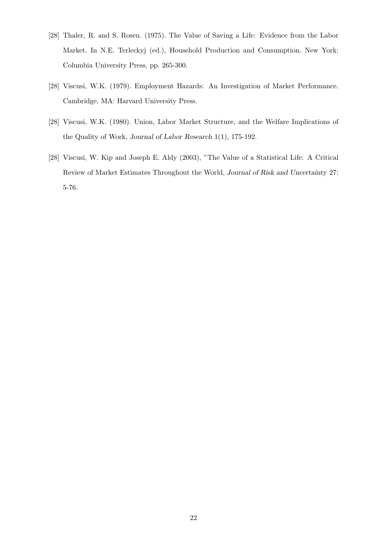- [28] Thaler, R. and S. Rosen. (1975). The Value of Saving a Life: Evidence from the Labor Market. In N.E. Terleckyj (ed.), Household Production and Consumption. New York: Columbia University Press, pp. 265-300.
- [28] Viscusi, W.K. (1979). Employment Hazards: An Investigation of Market Performance. Cambridge, MA: Harvard University Press.
- [28] Viscusi, W.K. (1980). Union, Labor Market Structure, and the Welfare Implications of the Quality of Work, Journal of Labor Research 1(1), 175-192.
- [28] Viscusi, W. Kip and Joseph E. Aldy (2003), "The Value of a Statistical Life: A Critical Review of Market Estimates Throughout the World, Journal of Risk and Uncertainty 27: 5-76.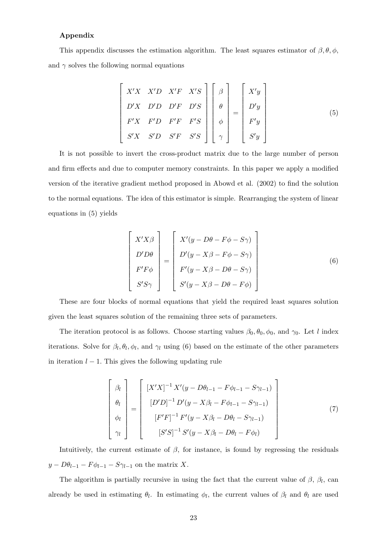### Appendix

This appendix discusses the estimation algorithm. The least squares estimator of  $\beta$ ,  $\theta$ ,  $\phi$ , and  $\gamma$  solves the following normal equations

$$
\begin{bmatrix}\nX'X & X'D & X'F & X'S \\
D'X & D'D & D'F & D'S \\
F'X & F'D & F'F & F'S \\
S'X & S'D & S'F & S'S\n\end{bmatrix}\n\begin{bmatrix}\n\beta \\
\theta \\
\phi \\
\gamma\n\end{bmatrix} =\n\begin{bmatrix}\nX'y \\
D'y \\
F'y \\
F'y \\
S'y\n\end{bmatrix}
$$
\n(5)

It is not possible to invert the cross-product matrix due to the large number of person and firm effects and due to computer memory constraints. In this paper we apply a modified version of the iterative gradient method proposed in Abowd et al. (2002) to find the solution to the normal equations. The idea of this estimator is simple. Rearranging the system of linear equations in (5) yields

$$
\begin{bmatrix}\nX'X\beta \\
D'D\theta \\
F'F\phi \\
S'S\gamma\n\end{bmatrix} = \begin{bmatrix}\nX'(y - D\theta - F\phi - S\gamma) \\
D'(y - X\beta - F\phi - S\gamma) \\
F'(y - X\beta - D\theta - S\gamma) \\
S'(y - X\beta - D\theta - F\phi)\n\end{bmatrix}
$$
\n(6)

These are four blocks of normal equations that yield the required least squares solution given the least squares solution of the remaining three sets of parameters.

The iteration protocol is as follows. Choose starting values  $\beta_0$ ,  $\theta_0$ ,  $\phi_0$ , and  $\gamma_0$ . Let l index iterations. Solve for  $\beta_l$ ,  $\theta_l$ ,  $\phi_l$ , and  $\gamma_l$  using (6) based on the estimate of the other parameters in iteration  $l - 1$ . This gives the following updating rule

$$
\begin{bmatrix}\n\beta_l \\
\theta_l \\
\phi_l \\
\gamma_l\n\end{bmatrix} = \begin{bmatrix}\n[X'X]^{-1} X'(y - D\theta_{l-1} - F\phi_{l-1} - S\gamma_{l-1}) \\
[D'D]^{-1} D'(y - X\beta_l - F\phi_{l-1} - S\gamma_{l-1}) \\
[F'F]^{-1} F'(y - X\beta_l - D\theta_l - S\gamma_{l-1}) \\
[S'S]^{-1} S'(y - X\beta_l - D\theta_l - F\phi_l)\n\end{bmatrix}
$$
\n(7)

Intuitively, the current estimate of  $\beta$ , for instance, is found by regressing the residuals  $y - D\theta_{l-1} - F\phi_{l-1} - S\gamma_{l-1}$  on the matrix X.

The algorithm is partially recursive in using the fact that the current value of  $\beta$ ,  $\beta_l$ , can already be used in estimating  $\theta_l$ . In estimating  $\phi_l$ , the current values of  $\beta_l$  and  $\theta_l$  are used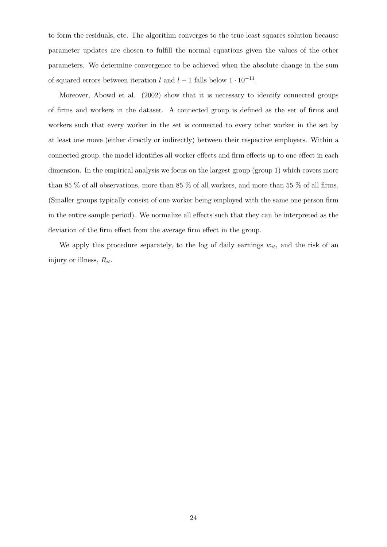to form the residuals, etc. The algorithm converges to the true least squares solution because parameter updates are chosen to fulfill the normal equations given the values of the other parameters. We determine convergence to be achieved when the absolute change in the sum of squared errors between iteration l and  $l-1$  falls below  $1 \cdot 10^{-11}$ .

Moreover, Abowd et al. (2002) show that it is necessary to identify connected groups of firms and workers in the dataset. A connected group is defined as the set of firms and workers such that every worker in the set is connected to every other worker in the set by at least one move (either directly or indirectly) between their respective employers. Within a connected group, the model identifies all worker effects and firm effects up to one effect in each dimension. In the empirical analysis we focus on the largest group (group 1) which covers more than 85 % of all observations, more than 85 % of all workers, and more than 55 % of all firms. (Smaller groups typically consist of one worker being employed with the same one person firm in the entire sample period). We normalize all effects such that they can be interpreted as the deviation of the firm effect from the average firm effect in the group.

We apply this procedure separately, to the log of daily earnings  $w_{it}$ , and the risk of an injury or illness,  $R_{it}$ .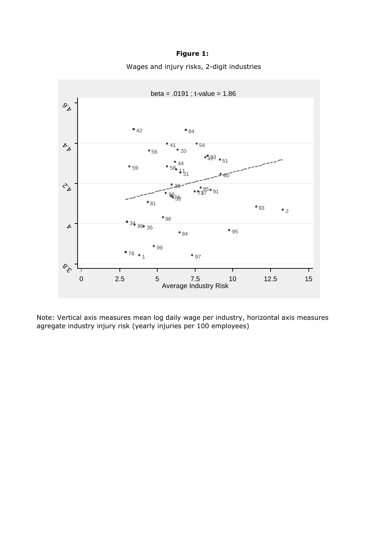# **Figure 1:**

Wages and injury risks, 2-digit industries



Note: Vertical axis measures mean log daily wage per industry, horizontal axis measures agregate industry injury risk (yearly injuries per 100 employees)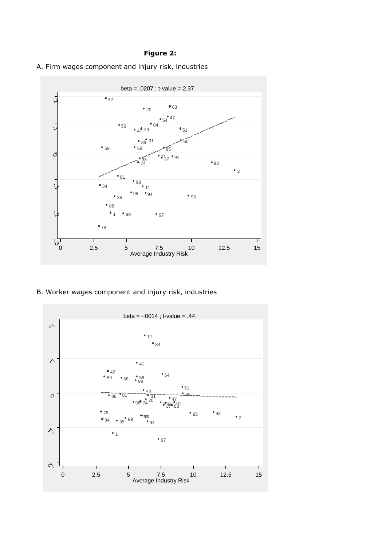### **Figure 2:**





B. Worker wages component and injury risk, industries

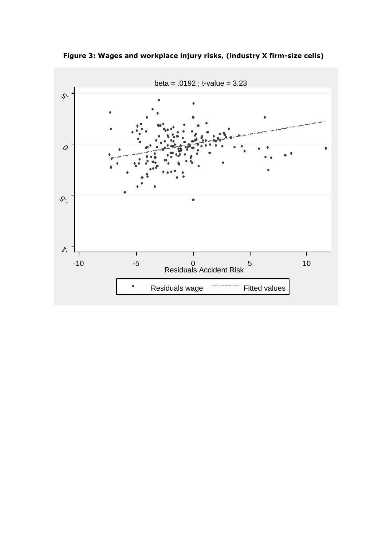

**Figure 3: Wages and workplace injury risks, (industry X firm-size cells)**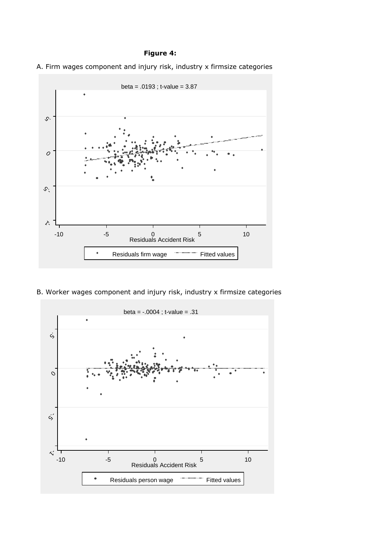### **Figure 4:**





B. Worker wages component and injury risk, industry x firmsize categories

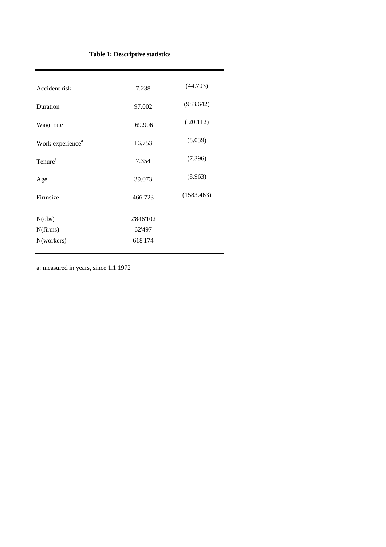# **Table 1: Descriptive statistics**

| Accident risk                | 7.238     | (44.703)   |
|------------------------------|-----------|------------|
| Duration                     | 97.002    | (983.642)  |
| Wage rate                    | 69.906    | (20.112)   |
| Work experience <sup>a</sup> | 16.753    | (8.039)    |
| Tenure <sup>a</sup>          | 7.354     | (7.396)    |
| Age                          | 39.073    | (8.963)    |
| Firmsize                     | 466.723   | (1583.463) |
|                              |           |            |
| N(obs)                       | 2'846'102 |            |
| N(firms)                     | 62'497    |            |
| N(workers)                   | 618'174   |            |
|                              |           |            |

a: measured in years, since 1.1.1972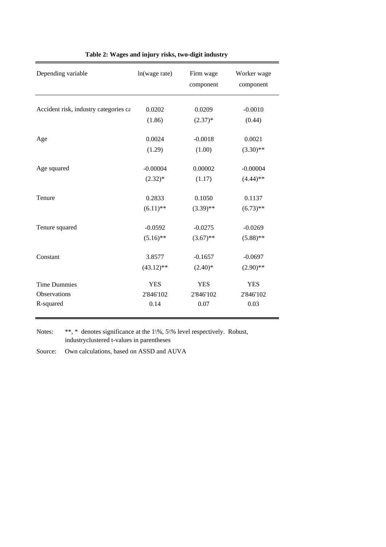| Depending variable                    | ln(wage rate) | Firm wage<br>component | Worker wage<br>component |
|---------------------------------------|---------------|------------------------|--------------------------|
| Accident risk, industry categories ca | 0.0202        | 0.0209                 | $-0.0010$                |
|                                       | (1.86)        | $(2.37)^*$             | (0.44)                   |
| Age                                   | 0.0024        | $-0.0018$              | 0.0021                   |
|                                       | (1.29)        | (1.00)                 | $(3.30)$ **              |
| Age squared                           | $-0.00004$    | 0.00002                | $-0.00004$               |
|                                       | $(2.32)^*$    | (1.17)                 | $(4.44)$ **              |
| Tenure                                | 0.2833        | 0.1050                 | 0.1137                   |
|                                       | $(6.11)$ **   | $(3.39)$ **            | $(6.73)$ **              |
| Tenure squared                        | $-0.0592$     | $-0.0275$              | $-0.0269$                |
|                                       | $(5.16)$ **   | $(3.67)$ **            | $(5.88)$ **              |
| Constant                              | 3.8577        | $-0.1657$              | $-0.0697$                |
|                                       | $(43.12)$ **  | $(2.40)$ *             | $(2.90)$ **              |
| <b>Time Dummies</b>                   | <b>YES</b>    | <b>YES</b>             | <b>YES</b>               |
| <b>Observations</b>                   | 2'846'102     | 2'846'102              | 2'846'102                |
| R-squared                             | 0.14          | 0.07                   | 0.03                     |

**Table 2: Wages and injury risks, two-digit industry** 

Notes: \*\*, \* denotes significance at the 1\%, 5\% level respectively. Robust, industryclustered t-values in parentheses

Source: Own calculations, based on ASSD and AUVA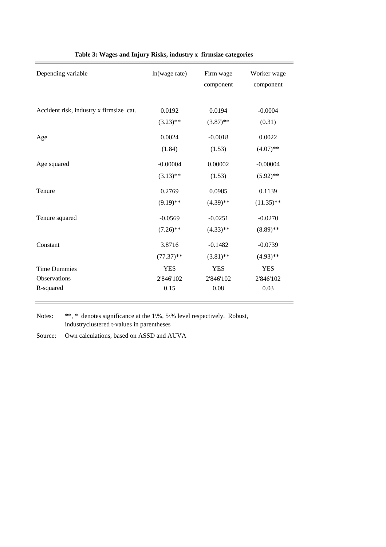| Depending variable                      | ln(wage rate) | Firm wage<br>component | Worker wage<br>component |
|-----------------------------------------|---------------|------------------------|--------------------------|
| Accident risk, industry x firmsize cat. | 0.0192        | 0.0194                 | $-0.0004$                |
|                                         | $(3.23)$ **   | $(3.87)$ **            | (0.31)                   |
| Age                                     | 0.0024        | $-0.0018$              | 0.0022                   |
|                                         | (1.84)        | (1.53)                 | $(4.07)$ **              |
| Age squared                             | $-0.00004$    | 0.00002                | $-0.00004$               |
|                                         | $(3.13)$ **   | (1.53)                 | $(5.92)$ **              |
| Tenure                                  | 0.2769        | 0.0985                 | 0.1139                   |
|                                         | $(9.19)$ **   | $(4.39)$ **            | $(11.35)$ **             |
| Tenure squared                          | $-0.0569$     | $-0.0251$              | $-0.0270$                |
|                                         | $(7.26)$ **   | $(4.33)$ **            | $(8.89)$ **              |
| Constant                                | 3.8716        | $-0.1482$              | $-0.0739$                |
|                                         | $(77.37)$ **  | $(3.81)$ **            | $(4.93)$ **              |
| <b>Time Dummies</b>                     | <b>YES</b>    | <b>YES</b>             | <b>YES</b>               |
| <b>Observations</b>                     | 2'846'102     | 2'846'102              | 2'846'102                |
| R-squared                               | 0.15          | 0.08                   | 0.03                     |

### **Table 3: Wages and Injury Risks, industry x firmsize categories**

Notes: \*\*, \* denotes significance at the 1\%, 5\% level respectively. Robust, industryclustered t-values in parentheses

Source: Own calculations, based on ASSD and AUVA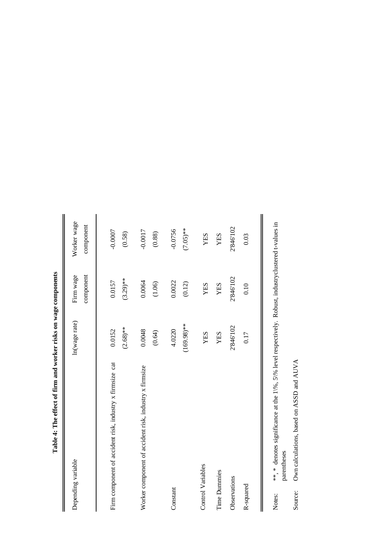| Depending variable                                       | In(wage rate)           | component<br>Firm wage | Worker wage<br>component |
|----------------------------------------------------------|-------------------------|------------------------|--------------------------|
| Firm component of accident risk, industry x firmsize cat | $(2.68)$ **<br>0.0152   | $(3.29)$ **<br>0.0157  | $-0.0007$<br>(0.58)      |
| Worker component of accident risk, industry x firmsize   | 0.0048<br>(0.64)        | 0.0064<br>(1.06)       | $-0.0017$<br>(0.88)      |
| Constant                                                 | $(169.98)$ **<br>4.0220 | 0.0022<br>(0.12)       | $(7.05)$ **<br>$-0.0756$ |
| Control Variables                                        | YES                     | YES                    | YES                      |
| <b>Time Dummies</b>                                      | YES                     | <b>XES</b>             | YES                      |
| Observations                                             | 2'846'102               | 2846102                | 2'846'102                |
| R-squared                                                | 0.17                    | 0.10                   | 0.03                     |
|                                                          |                         |                        |                          |

Table 4: The effect of firm and worker risks on wage components **Table 4: The effect of firm and worker risks on wage components**

\*\*, \* denotes significance at the  $1\%$ ,  $5\%$  level respectively. Robust, industryclustered t-values in parentheses \*\*,  $*$  denotes significance at the 1\%, 5\% level respectively. Robust, industryclustered t-values in parentheses Notes:

Own calculations, based on ASSD and AUVA Own calculations, based on ASSD and AUVA Source: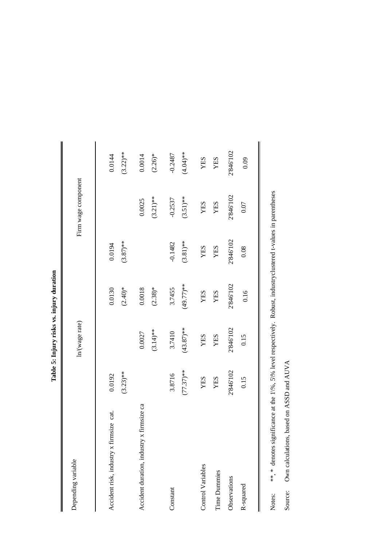| -----<br>č         |
|--------------------|
| j                  |
| Ì                  |
| $\frac{1}{2}$<br>٦ |

| Depending variable                           |                       | ln(wage rate)          |                       |                          | Firm wage component      |                          |
|----------------------------------------------|-----------------------|------------------------|-----------------------|--------------------------|--------------------------|--------------------------|
| Accident risk, industry x firmsize cat.      | $(3.23)**$<br>0.0192  |                        | 0.0130<br>$(2.40)*$   | $(3.87)$ **<br>0.0194    |                          | $(3.22)**$<br>0.0144     |
| firmsize ca<br>Accident duration, industry x |                       | $(3.14)$ **<br>0.0027  | $(2.38)*$<br>0.0018   |                          | $(3.21)$ **<br>0.0025    | $(2.26)*$<br>0.0014      |
| Constant                                     | $(77.37)**$<br>3.8716 | $(43.87)$ **<br>3.7410 | $(49.77)**$<br>3.7455 | $(3.81)$ **<br>$-0.1482$ | $(3.51)$ **<br>$-0.2537$ | $(4.04)$ **<br>$-0.2487$ |
| Control Variables                            | YES                   | YES                    | YES                   | YES                      | YES                      | YES                      |
| <b>Time Dummies</b>                          | YES                   | YES                    | YES                   | YES                      | YES                      | YES                      |
| Observations                                 | 2'846'102             | 2'846'102              | 2'846'102             | 2'846'102                | 2'846'102                | 2'846'102                |
| R-squared                                    | 0.15                  | 0.15                   | 0.16                  | 0.08                     | 0.07                     | 0.09                     |
|                                              |                       |                        |                       |                          |                          |                          |

\*\*, \* denotes significance at the 1\%, 5\% level respectively. Robust, industryclustered t-values in parentheses \*\*, \* denotes significance at the 1\%, 5\% level respectively. Robust, industryclustered t-values in parentheses Notes:

Own calculations, based on ASSD and AUVA Own calculations, based on ASSD and AUVA Source: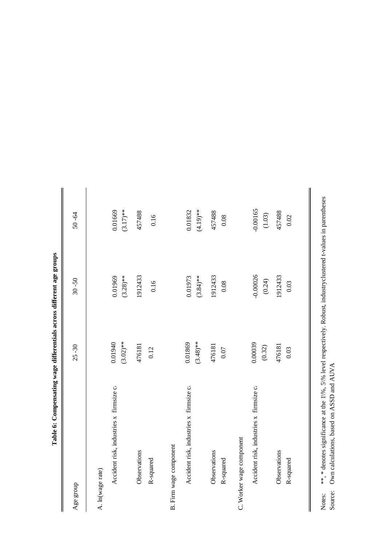| companie was wage announcement and the straight of the straight |                        |                        |                        |
|-----------------------------------------------------------------|------------------------|------------------------|------------------------|
| Age group                                                       | $25 - 30$              | $30 - 50$              | $50 - 64$              |
| A. ln(wage rate)                                                |                        |                        |                        |
| Accident risk, industries x firmsize ca                         | 0.01940<br>$(3.02)$ ** | $(3.28)$ **<br>0.01969 | $(3.17)$ **<br>0.01669 |
| Observations                                                    | 476181                 | 1912433                | 457488                 |
| R-squared                                                       | 0.12                   | 0.16                   | 0.16                   |
| B. Firm wage component                                          |                        |                        |                        |
| Accident risk, industries x firmsize ca                         | 0.01869<br>$(3.48)$ ** | $(3.84)$ **<br>0.01973 | $(4.19)$ **<br>0.01832 |
| Observations<br>R-squared                                       | 476181<br>$0.07\,$     | 1912433<br>0.08        | 457488<br>0.08         |
| C. Worker wage component                                        |                        |                        |                        |
| Accident risk, industries x firmsize ca                         | 0.00039<br>(0.32)      | $-0.00026$<br>(0.24)   | $-0.00165$<br>(1.03)   |
| Observations<br>R-squared                                       | 476181<br>0.03         | 1912433<br>0.03        | 457488<br>$0.02\,$     |
|                                                                 |                        |                        |                        |

Table 6: Compensating wage differentials across different age groups **Table 6: Compensating wage differentials across different age groups** Notes: Source:  $**$ ,  $*$  denotes significance at the  $1\%$ ,  $5\%$  level respectively. Robust, industryclustered t-values in parentheses Own calculations, based on ASSD and AUVA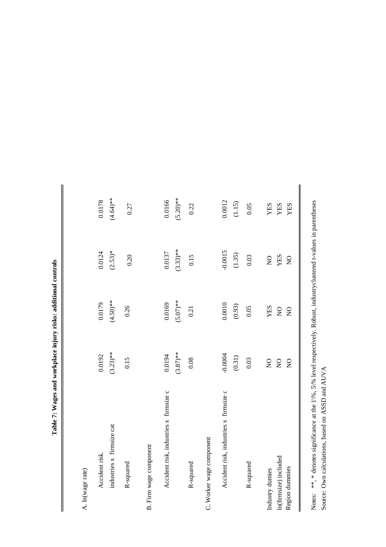| ו<br>ו                                                                                                                                                                                                                                                                                                                                                |
|-------------------------------------------------------------------------------------------------------------------------------------------------------------------------------------------------------------------------------------------------------------------------------------------------------------------------------------------------------|
| ֖֖֪ׅ֪֪ׅ֚֚֚֚֚֚֚֚֚֚֬֝֝֝֝֝֝                                                                                                                                                                                                                                                                                                                              |
| ļ<br>1                                                                                                                                                                                                                                                                                                                                                |
| <br> <br> <br> <br> <br>                                                                                                                                                                                                                                                                                                                              |
|                                                                                                                                                                                                                                                                                                                                                       |
| i<br>China<br>China<br>China<br>China<br>China<br>China<br>China<br>China<br>China<br>China<br>China<br>China<br>China<br>China<br>China<br>China<br>China<br>China<br>China<br>China<br>China<br>China<br>China<br>China<br>China<br>China<br>China<br>China<br>China<br>China<br>China<br>China<br>China<br>China<br>China<br>China<br>Ch<br>i<br>0 |
| i<br>$\frac{1}{1}$                                                                                                                                                                                                                                                                                                                                    |
|                                                                                                                                                                                                                                                                                                                                                       |

I

| A. In(wage rate)                       |                |                |                |             |
|----------------------------------------|----------------|----------------|----------------|-------------|
| Accident risk.                         | 0.0192         | 0.0179         | 0.0124         | 0.0178      |
| industries x firmsize cat              | $(3.23)$ **    | $(4.50)**$     | $(2.53)*$      | $(4.64)*$   |
| R-squared                              | 0.15           | 0.26           | 0.20           | 0.27        |
| B. Firm wage component                 |                |                |                |             |
| Accident risk, industries x firmsize c | 0.0194         | 0.0169         | 0.0137         | 0.0166      |
|                                        | $(3.87)$ **    | $(5.07)$ **    | $(3.33)$ **    | $(5.20)$ ** |
| R-squared                              | 0.08           | 0.21           | 0.15           | 0.22        |
| C. Worker wage component               |                |                |                |             |
| Accident risk, industries x firmsize c | $-0.0004$      | 0.0010         | $-0.0015$      | 0.0012      |
|                                        | (0.31)         | (0.93)         | (1.35)         | (1.15)      |
| R-squared                              | 0.03           | 0.05           | 0.03           | 0.05        |
| Industry dumies                        | $\overline{Q}$ | YES            | $\frac{1}{2}$  | YES         |
| In(firmsize) included                  | $\overline{Q}$ | $\overline{Q}$ | YES            | YES         |
| Region dummies                         | $\overline{Q}$ | $\overline{Q}$ | $\overline{Q}$ | YES         |
|                                        |                |                |                |             |

Notes: Source: \*\*, \* denotes significance at the 1\%, 5\% level respectively. Robust, industryclustered t-values in parentheses Own calculations, based on ASSD and AUVA